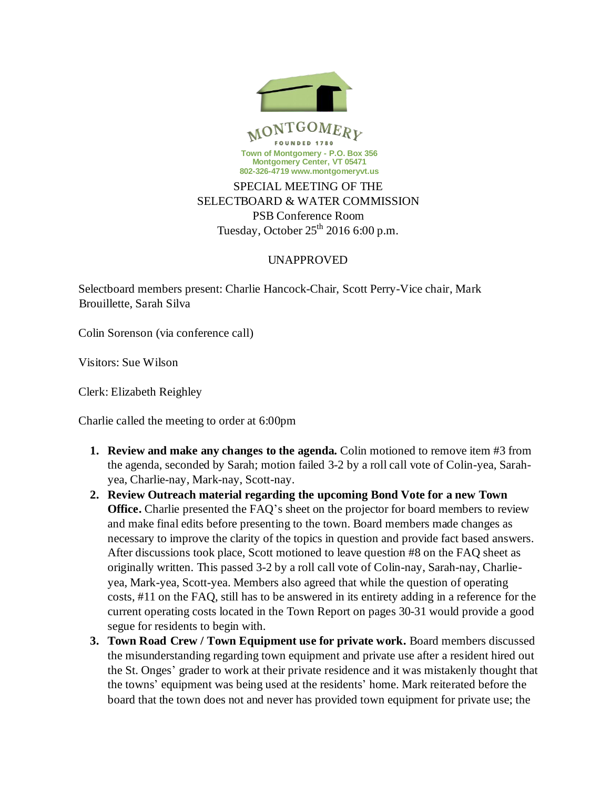

## SELECTBOARD & WATER COMMISSION PSB Conference Room Tuesday, October  $25<sup>th</sup>$  2016 6:00 p.m.

## UNAPPROVED

Selectboard members present: Charlie Hancock-Chair, Scott Perry-Vice chair, Mark Brouillette, Sarah Silva

Colin Sorenson (via conference call)

Visitors: Sue Wilson

Clerk: Elizabeth Reighley

Charlie called the meeting to order at 6:00pm

- **1. Review and make any changes to the agenda.** Colin motioned to remove item #3 from the agenda, seconded by Sarah; motion failed 3-2 by a roll call vote of Colin-yea, Sarahyea, Charlie-nay, Mark-nay, Scott-nay.
- **2. Review Outreach material regarding the upcoming Bond Vote for a new Town Office.** Charlie presented the FAQ's sheet on the projector for board members to review and make final edits before presenting to the town. Board members made changes as necessary to improve the clarity of the topics in question and provide fact based answers. After discussions took place, Scott motioned to leave question #8 on the FAQ sheet as originally written. This passed 3-2 by a roll call vote of Colin-nay, Sarah-nay, Charlieyea, Mark-yea, Scott-yea. Members also agreed that while the question of operating costs, #11 on the FAQ, still has to be answered in its entirety adding in a reference for the current operating costs located in the Town Report on pages 30-31 would provide a good segue for residents to begin with.
- **3. Town Road Crew / Town Equipment use for private work.** Board members discussed the misunderstanding regarding town equipment and private use after a resident hired out the St. Onges' grader to work at their private residence and it was mistakenly thought that the towns' equipment was being used at the residents' home. Mark reiterated before the board that the town does not and never has provided town equipment for private use; the